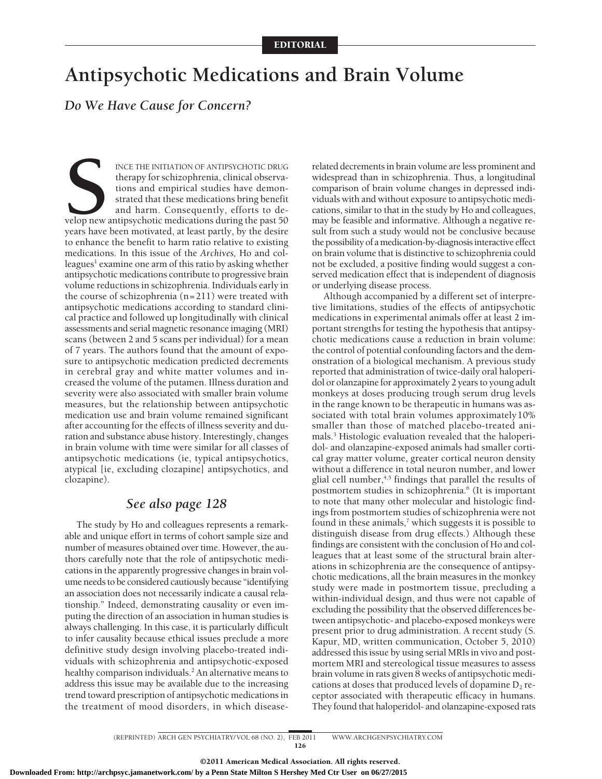## **Antipsychotic Medications and Brain Volume**

*Do We Have Cause for Concern?*

INCE THE INITIATION OF ANTIPSYCHOTIC DRUG<br>therapy for schizophrenia, clinical observa-<br>tions and empirical studies have demon-<br>strated that these medications bring benefit<br>and harm. Consequently, efforts to de-<br>velop new a therapy for schizophrenia, clinical observations and empirical studies have demonstrated that these medications bring benefit and harm. Consequently, efforts to develop new antipsychotic medications during the past 50 years have been motivated, at least partly, by the desire to enhance the benefit to harm ratio relative to existing medications. In this issue of the *Archives,* Ho and col $le$  examine one arm of this ratio by asking whether antipsychotic medications contribute to progressive brain volume reductions in schizophrenia. Individuals early in the course of schizophrenia (n=211) were treated with antipsychotic medications according to standard clinical practice and followed up longitudinally with clinical assessments and serial magnetic resonance imaging (MRI) scans (between 2 and 5 scans per individual) for a mean of 7 years. The authors found that the amount of exposure to antipsychotic medication predicted decrements in cerebral gray and white matter volumes and increased the volume of the putamen. Illness duration and severity were also associated with smaller brain volume measures, but the relationship between antipsychotic medication use and brain volume remained significant after accounting for the effects of illness severity and duration and substance abuse history. Interestingly, changes in brain volume with time were similar for all classes of antipsychotic medications (ie, typical antipsychotics, atypical [ie, excluding clozapine] antipsychotics, and clozapine).

## *See also page 128*

The study by Ho and colleagues represents a remarkable and unique effort in terms of cohort sample size and number of measures obtained over time. However, the authors carefully note that the role of antipsychotic medications in the apparently progressive changes in brain volume needs to be considered cautiously because "identifying an association does not necessarily indicate a causal relationship." Indeed, demonstrating causality or even imputing the direction of an association in human studies is always challenging. In this case, it is particularly difficult to infer causality because ethical issues preclude a more definitive study design involving placebo-treated individuals with schizophrenia and antipsychotic-exposed healthy comparison individuals.<sup>2</sup> An alternative means to address this issue may be available due to the increasing trend toward prescription of antipsychotic medications in the treatment of mood disorders, in which diseaserelated decrements in brain volume are less prominent and widespread than in schizophrenia. Thus, a longitudinal comparison of brain volume changes in depressed individuals with and without exposure to antipsychotic medications, similar to that in the study by Ho and colleagues, may be feasible and informative. Although a negative result from such a study would not be conclusive because the possibility of a medication-by-diagnosis interactive effect on brain volume that is distinctive to schizophrenia could not be excluded, a positive finding would suggest a conserved medication effect that is independent of diagnosis or underlying disease process.

Although accompanied by a different set of interpretive limitations, studies of the effects of antipsychotic medications in experimental animals offer at least 2 important strengths for testing the hypothesis that antipsychotic medications cause a reduction in brain volume: the control of potential confounding factors and the demonstration of a biological mechanism. A previous study reported that administration of twice-daily oral haloperidol or olanzapine for approximately 2 years to young adult monkeys at doses producing trough serum drug levels in the range known to be therapeutic in humans was associated with total brain volumes approximately10% smaller than those of matched placebo-treated animals.3 Histologic evaluation revealed that the haloperidol- and olanzapine-exposed animals had smaller cortical gray matter volume, greater cortical neuron density without a difference in total neuron number, and lower glial cell number, $4,5$  findings that parallel the results of postmortem studies in schizophrenia.6 (It is important to note that many other molecular and histologic findings from postmortem studies of schizophrenia were not found in these animals, $7$  which suggests it is possible to distinguish disease from drug effects.) Although these findings are consistent with the conclusion of Ho and colleagues that at least some of the structural brain alterations in schizophrenia are the consequence of antipsychotic medications, all the brain measures in the monkey study were made in postmortem tissue, precluding a within-individual design, and thus were not capable of excluding the possibility that the observed differences between antipsychotic- and placebo-exposed monkeys were present prior to drug administration. A recent study (S. Kapur, MD, written communication, October 5, 2010) addressed this issue by using serial MRIs in vivo and postmortem MRI and stereological tissue measures to assess brain volume in rats given 8 weeks of antipsychotic medications at doses that produced levels of dopamine  $D_2$  receptor associated with therapeutic efficacy in humans. They found that haloperidol- and olanzapine-exposed rats